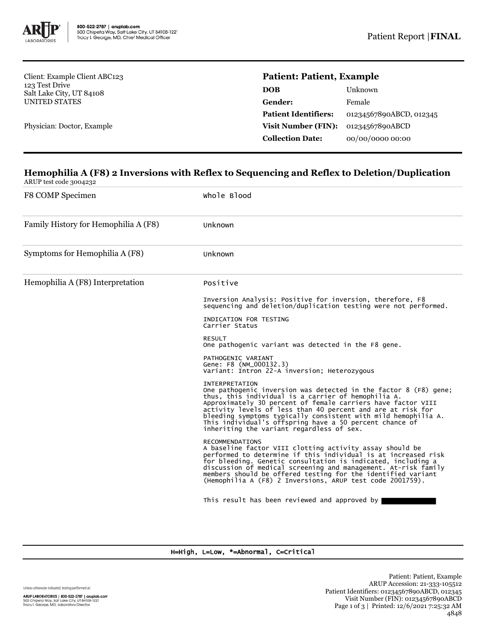

Client: Example Client ABC123 123 Test Drive Salt Lake City, UT 84108 UNITED STATES

Physician: Doctor, Example

## **Patient: Patient, Example**

| DOB                         | Unknown                 |
|-----------------------------|-------------------------|
| Gender:                     | Female                  |
| <b>Patient Identifiers:</b> | 01234567890ABCD, 012345 |
| <b>Visit Number (FIN):</b>  | 01234567890ABCD         |
| <b>Collection Date:</b>     | 00/00/0000 00:00        |
|                             |                         |

# **Hemophilia A (F8) 2 Inversions with Reflex to Sequencing and Reflex to Deletion/Duplication**

ARUP test code 3004232

| F8 COMP Specimen                     | Whole Blood                                                                                                                                                                                                                                                                                                                                                                                                                                               |  |  |
|--------------------------------------|-----------------------------------------------------------------------------------------------------------------------------------------------------------------------------------------------------------------------------------------------------------------------------------------------------------------------------------------------------------------------------------------------------------------------------------------------------------|--|--|
| Family History for Hemophilia A (F8) | Unknown                                                                                                                                                                                                                                                                                                                                                                                                                                                   |  |  |
| Symptoms for Hemophilia A (F8)       | Unknown                                                                                                                                                                                                                                                                                                                                                                                                                                                   |  |  |
| Hemophilia A (F8) Interpretation     | Positive                                                                                                                                                                                                                                                                                                                                                                                                                                                  |  |  |
|                                      | Inversion Analysis: Positive for inversion, therefore, F8<br>sequencing and deletion/duplication testing were not performed.                                                                                                                                                                                                                                                                                                                              |  |  |
|                                      | INDICATION FOR TESTING<br>Carrier Status                                                                                                                                                                                                                                                                                                                                                                                                                  |  |  |
|                                      | <b>RESULT</b><br>One pathogenic variant was detected in the F8 gene.                                                                                                                                                                                                                                                                                                                                                                                      |  |  |
|                                      | PATHOGENIC VARIANT<br>Gene: F8 (NM_000132.3)<br>Variant: Intron 22-A inversion; Heterozygous                                                                                                                                                                                                                                                                                                                                                              |  |  |
|                                      | <b>INTERPRETATION</b><br>One pathogenic inversion was detected in the factor 8 (F8) gene;<br>thus, this individual is a carrier of hemophilia A.<br>Approximately 30 percent of female carriers have factor VIII<br>activity levels of less than 40 percent and are at risk for<br>bleeding symptoms typically consistent with mild hemophilia A.<br>This individual's offspring have a 50 percent chance of<br>inheriting the variant regardless of sex. |  |  |
|                                      | <b>RECOMMENDATIONS</b><br>A baseline factor VIII clotting activity assay should be<br>performed to determine if this individual is at increased risk<br>for bleeding. Genetic consultation is indicated, including a<br>discussion of medical screening and management. At-risk family<br>members should be offered testing for the identified variant<br>(Hemophilia A (F8) 2 Inversions, ARUP test code 2001759).                                       |  |  |
|                                      | This result has been reviewed and approved by                                                                                                                                                                                                                                                                                                                                                                                                             |  |  |

#### H=High, L=Low, \*=Abnormal, C=Critical

Unless otherwise indicated, testing performed at:

ARUP LABORATORIES | 800-522-2787 | aruplab.com<br>500 Chipeta Way, Salt Lake City, UT 84108-1221<br>Tracy I. George, MD, Laboratory Director

Patient: Patient, Example ARUP Accession: 21-333-105512 Patient Identifiers: 01234567890ABCD, 012345 Visit Number (FIN): 01234567890ABCD Page 1 of 3 | Printed: 12/6/2021 7:25:32 AM 4848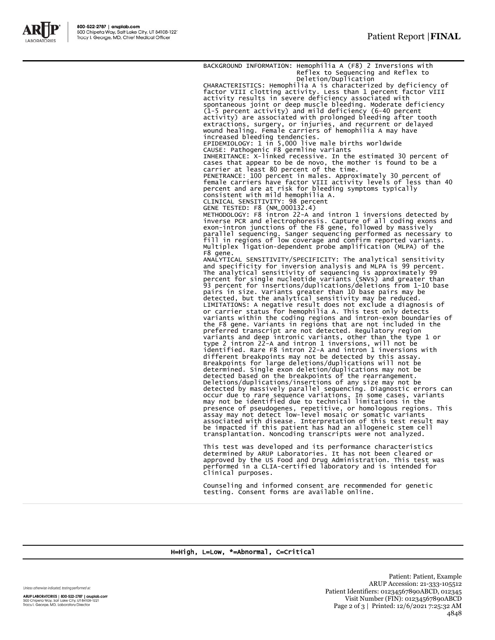

BACKGROUND INFORMATION: Hemophilia A (F8) 2 Inversions with Reflex to Sequencing and Reflex to Deletion/Duplication CHARACTERISTICS: Hemophilia A is characterized by deficiency of factor VIII clotting activity. Less than 1 percent factor VIII activity results in severe deficiency associated with<br>spontaneous joint or deep muscle bleeding. Moderate deficiency<br>(1-5 percent activity) and mild deficiency (6-40 percent<br>activity) are associated with prolonged bleeding increased bleeding tendencies. EPIDEMIOLOGY: 1 in 5,000 live male births worldwide CAUSE: Pathogenic F8 germline variants INHERITANCE: X-linked recessive. In the estimated 30 percent of cases that appear to be de novo, the mother is found to be a carrier at least 80 percent of the time. PENETRANCE: 100 percent in males. Approximately 30 percent of female carriers have factor VIII activity levels of less than 40 percent and are at risk for bleeding symptoms typically consistent with mild hemophilia A. CLINICAL SENSITIVITY: 98 percent GENE TESTED: F8 (NM\_000132.4) METHODOLOGY: F8 intron 22-A and intron 1 inversions detected by inverse PCR and electrophoresis. Capture of all coding exons and exon-intron junctions of the F8 gene, followed by massively parallel sequencing. Sanger sequencing performed as necessary to fill in regions of low coverage and confirm reported variants. Multiplex ligation-dependent probe amplification (MLPA) of the F8 gene. ANALYTICAL SENSITIVITY/SPECIFICITY: The analytical sensitivity and specificity for inversion analysis and MLPA is 99 percent. The analytical sensitivity of sequencing is approximately 99 percent for single nucleotide variants (SNVs) and greater than 93 percent for insertions/duplications/deletions from 1-10 base pairs in size. Variants greater than 10 base pairs may be<br>detected, but the analytical sensitivity may be reduced.<br>LIMITATIONS: A negative result does not exclude a diagnosis of<br>or carrier status for hemophilia A. This tes the F8 gene. Variants in regions that are not included in the preferred transcript are not detected. Regulatory region variants and deep intronic variants, other than the type 1 or<br>type 2 intron 22-A and intron 1 inversions, will not be<br>identified. Rare F8 intron 22-A and intron 1 inversions<br>different breakpoints may not be detected by thi detected based on the breakpoints of the rearrangement.<br>Deletions/duplications/insertions of any size may not be<br>detected by massively parallel sequencing. Diagnostic errors can<br>occur due to rare sequence variations. In so transplantation. Noncoding transcripts were not analyzed. This test was developed and its performance characteristics

determined by ARUP Laboratories. It has not been cleared or approved by the US Food and Drug Administration. This test was performed in a CLIA-certified laboratory and is intended for clinical purposes.

Counseling and informed consent are recommended for genetic testing. Consent forms are available online.

#### H=High, L=Low, \*=Abnormal, C=Critical

Unless otherwise indicated, testing performed at:

ARUP LABORATORIES | 800-522-2787 | aruplab.com<br>500 Chipeta Way, Salt Lake City, UT 84108-1221<br>Tracy I. George, MD, Laboratory Director

Patient: Patient, Example ARUP Accession: 21-333-105512 Patient Identifiers: 01234567890ABCD, 012345 Visit Number (FIN): 01234567890ABCD Page 2 of 3 | Printed: 12/6/2021 7:25:32 AM 4848